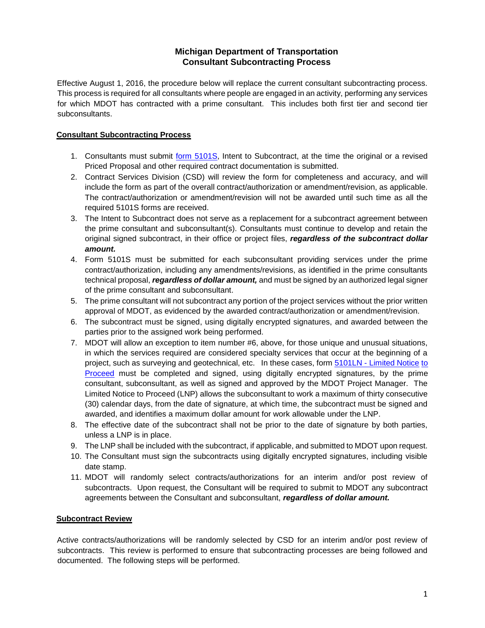# **Michigan Department of Transportation Consultant Subcontracting Process**

Effective August 1, 2016, the procedure below will replace the current consultant subcontracting process. This process is required for all consultants where people are engaged in an activity, performing any services for which MDOT has contracted with a prime consultant. This includes both first tier and second tier subconsultants.

### **Consultant Subcontracting Process**

- 1. Consultants must submit [form 5101S,](http://www.michigan.gov/documents/mdot/Form_5101S_Sample_526848_7.pdf) Intent to Subcontract, at the time the original or a revised Priced Proposal and other required contract documentation is submitted.
- 2. Contract Services Division (CSD) will review the form for completeness and accuracy, and will include the form as part of the overall contract/authorization or amendment/revision, as applicable. The contract/authorization or amendment/revision will not be awarded until such time as all the required 5101S forms are received.
- 3. The Intent to Subcontract does not serve as a replacement for a subcontract agreement between the prime consultant and subconsultant(s). Consultants must continue to develop and retain the original signed subcontract, in their office or project files, *regardless of the subcontract dollar amount.*
- 4. Form 5101S must be submitted for each subconsultant providing services under the prime contract/authorization, including any amendments/revisions, as identified in the prime consultants technical proposal, *regardless of dollar amount,* and must be signed by an authorized legal signer of the prime consultant and subconsultant.
- 5. The prime consultant will not subcontract any portion of the project services without the prior written approval of MDOT, as evidenced by the awarded contract/authorization or amendment/revision.
- 6. The subcontract must be signed, using digitally encrypted signatures, and awarded between the parties prior to the assigned work being performed.
- 7. MDOT will allow an exception to item number #6, above, for those unique and unusual situations, in which the services required are considered specialty services that occur at the beginning of a project, such as surveying and geotechnical, etc. In these cases, form [5101LN -](http://mdotcf.state.mi.us/public/webforms/public/5101LN.pdf) [Limited Notice](http://mdotcf.state.mi.us/public/webforms/public/5101LN.pdf) [to](http://mdotcf.state.mi.us/public/webforms/public/5101LN.pdf)  [Proceed](http://mdotcf.state.mi.us/public/webforms/public/5101LN.pdf) must be completed and signed, using digitally encrypted signatures, by the prime consultant, subconsultant, as well as signed and approved by the MDOT Project Manager. The Limited Notice to Proceed (LNP) allows the subconsultant to work a maximum of thirty consecutive (30) calendar days, from the date of signature, at which time, the subcontract must be signed and awarded, and identifies a maximum dollar amount for work allowable under the LNP.
- 8. The effective date of the subcontract shall not be prior to the date of signature by both parties, unless a LNP is in place.
- 9. The LNP shall be included with the subcontract, if applicable, and submitted to MDOT upon request.
- 10. The Consultant must sign the subcontracts using digitally encrypted signatures, including visible date stamp.
- 11. MDOT will randomly select contracts/authorizations for an interim and/or post review of subcontracts. Upon request, the Consultant will be required to submit to MDOT any subcontract agreements between the Consultant and subconsultant, *regardless of dollar amount.*

### **Subcontract Review**

Active contracts/authorizations will be randomly selected by CSD for an interim and/or post review of subcontracts. This review is performed to ensure that subcontracting processes are being followed and documented. The following steps will be performed.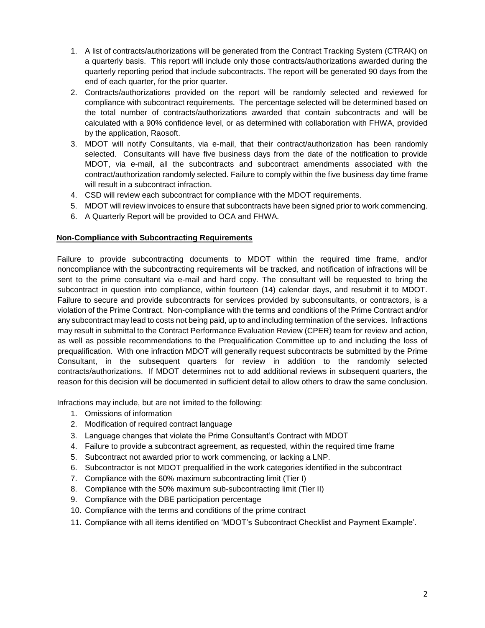- 1. A list of contracts/authorizations will be generated from the Contract Tracking System (CTRAK) on a quarterly basis. This report will include only those contracts/authorizations awarded during the quarterly reporting period that include subcontracts. The report will be generated 90 days from the end of each quarter, for the prior quarter.
- 2. Contracts/authorizations provided on the report will be randomly selected and reviewed for compliance with subcontract requirements. The percentage selected will be determined based on the total number of contracts/authorizations awarded that contain subcontracts and will be calculated with a 90% confidence level, or as determined with collaboration with FHWA, provided by the application, Raosoft.
- 3. MDOT will notify Consultants, via e-mail, that their contract/authorization has been randomly selected. Consultants will have five business days from the date of the notification to provide MDOT, via e-mail, all the subcontracts and subcontract amendments associated with the contract/authorization randomly selected. Failure to comply within the five business day time frame will result in a subcontract infraction.
- 4. CSD will review each subcontract for compliance with the MDOT requirements.
- 5. MDOT will review invoices to ensure that subcontracts have been signed prior to work commencing.
- 6. A Quarterly Report will be provided to OCA and FHWA.

### **Non-Compliance with Subcontracting Requirements**

Failure to provide subcontracting documents to MDOT within the required time frame, and/or noncompliance with the subcontracting requirements will be tracked, and notification of infractions will be sent to the prime consultant via e-mail and hard copy. The consultant will be requested to bring the subcontract in question into compliance, within fourteen (14) calendar days, and resubmit it to MDOT. Failure to secure and provide subcontracts for services provided by subconsultants, or contractors, is a violation of the Prime Contract. Non-compliance with the terms and conditions of the Prime Contract and/or any subcontract may lead to costs not being paid, up to and including termination of the services. Infractions may result in submittal to the Contract Performance Evaluation Review (CPER) team for review and action, as well as possible recommendations to the Prequalification Committee up to and including the loss of prequalification. With one infraction MDOT will generally request subcontracts be submitted by the Prime Consultant, in the subsequent quarters for review in addition to the randomly selected contracts/authorizations. If MDOT determines not to add additional reviews in subsequent quarters, the reason for this decision will be documented in sufficient detail to allow others to draw the same conclusion.

Infractions may include, but are not limited to the following:

- 1. Omissions of information
- 2. Modification of required contract language
- 3. Language changes that violate the Prime Consultant's Contract with MDOT
- 4. Failure to provide a subcontract agreement, as requested, within the required time frame
- 5. Subcontract not awarded prior to work commencing, or lacking a LNP.
- 6. Subcontractor is not MDOT prequalified in the work categories identified in the subcontract
- 7. Compliance with the 60% maximum subcontracting limit (Tier I)
- 8. Compliance with the 50% maximum sub-subcontracting limit (Tier II)
- 9. Compliance with the DBE participation percentage
- 10. Compliance with the terms and conditions of the prime contract
- 11. Compliance with all items identified on ['MDOT's Subcontract Checklist and](http://www.michigan.gov/documents/mdot/mdot_subcontract_checklist_and_payment_examples_355439_7.pdf) Payment Exampl[e'.](http://www.michigan.gov/documents/mdot/mdot_subcontract_checklist_and_payment_examples_355439_7.pdf)